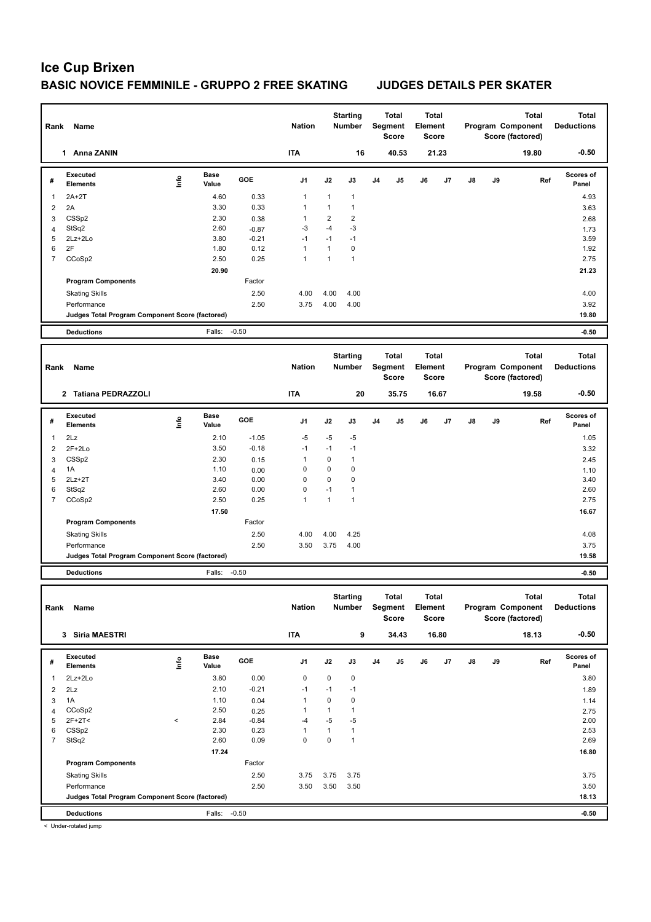| Rank                    | Name                                            |       |                      |                    | <b>Nation</b>      |                    | <b>Starting</b><br><b>Number</b> |                | <b>Total</b><br>Segment<br><b>Score</b> | Element | Total<br><b>Score</b> |    |    | Total<br>Program Component<br>Score (factored) | Total<br><b>Deductions</b> |
|-------------------------|-------------------------------------------------|-------|----------------------|--------------------|--------------------|--------------------|----------------------------------|----------------|-----------------------------------------|---------|-----------------------|----|----|------------------------------------------------|----------------------------|
|                         | 1 Anna ZANIN                                    |       |                      |                    | <b>ITA</b>         |                    | 16                               |                | 40.53                                   |         | 21.23                 |    |    | 19.80                                          | $-0.50$                    |
| #                       | <b>Executed</b><br><b>Elements</b>              | Life  | <b>Base</b><br>Value | GOE                | J1                 | J2                 | J3                               | J <sub>4</sub> | J5                                      | J6      | J7                    | J8 | J9 | Ref                                            | <b>Scores of</b><br>Panel  |
| 1                       | $2A+2T$                                         |       | 4.60                 | 0.33               | 1                  | 1                  | 1                                |                |                                         |         |                       |    |    |                                                | 4.93                       |
| $\overline{2}$          | 2A                                              |       | 3.30                 | 0.33               | 1                  | $\mathbf{1}$       | 1                                |                |                                         |         |                       |    |    |                                                | 3.63                       |
| 3                       | CSSp2                                           |       | 2.30                 | 0.38               | $\mathbf{1}$       | $\overline{2}$     | $\overline{2}$                   |                |                                         |         |                       |    |    |                                                | 2.68                       |
| 4<br>5                  | StSq2<br>2Lz+2Lo                                |       | 2.60<br>3.80         | $-0.87$<br>$-0.21$ | -3<br>$-1$         | $-4$<br>$-1$       | $-3$<br>$-1$                     |                |                                         |         |                       |    |    |                                                | 1.73<br>3.59               |
| 6                       | 2F                                              |       | 1.80                 | 0.12               | 1                  | $\mathbf{1}$       | 0                                |                |                                         |         |                       |    |    |                                                | 1.92                       |
| $\overline{7}$          | CCoSp2                                          |       | 2.50                 | 0.25               | $\mathbf{1}$       | $\mathbf{1}$       | $\mathbf{1}$                     |                |                                         |         |                       |    |    |                                                | 2.75                       |
|                         |                                                 |       | 20.90                |                    |                    |                    |                                  |                |                                         |         |                       |    |    |                                                | 21.23                      |
|                         | <b>Program Components</b>                       |       |                      | Factor             |                    |                    |                                  |                |                                         |         |                       |    |    |                                                |                            |
|                         | <b>Skating Skills</b>                           |       |                      | 2.50               | 4.00               | 4.00               | 4.00                             |                |                                         |         |                       |    |    |                                                | 4.00                       |
|                         | Performance                                     |       |                      | 2.50               | 3.75               | 4.00               | 4.00                             |                |                                         |         |                       |    |    |                                                | 3.92                       |
|                         | Judges Total Program Component Score (factored) |       |                      |                    |                    |                    |                                  |                |                                         |         |                       |    |    |                                                | 19.80                      |
|                         | <b>Deductions</b>                               |       | Falls:               | $-0.50$            |                    |                    |                                  |                |                                         |         |                       |    |    |                                                | $-0.50$                    |
|                         |                                                 |       |                      |                    |                    |                    | <b>Starting</b>                  |                | <b>Total</b>                            |         | <b>Total</b>          |    |    | <b>Total</b>                                   | <b>Total</b>               |
| Rank                    | Name                                            |       |                      |                    | <b>Nation</b>      |                    | <b>Number</b>                    |                | Segment<br><b>Score</b>                 | Element | <b>Score</b>          |    |    | Program Component<br>Score (factored)          | <b>Deductions</b>          |
|                         | 2 Tatiana PEDRAZZOLI                            |       |                      |                    | <b>ITA</b>         |                    | 20                               |                | 35.75                                   |         | 16.67                 |    |    | 19.58                                          | $-0.50$                    |
| #                       | Executed                                        | lnfo  | <b>Base</b>          | GOE                | J1                 | J2                 | J3                               | J <sub>4</sub> | J5                                      | J6      | J7                    | J8 | J9 | Ref                                            | Scores of                  |
|                         | <b>Elements</b>                                 |       | Value                |                    |                    |                    |                                  |                |                                         |         |                       |    |    |                                                | Panel                      |
| 1                       | 2Lz                                             |       | 2.10                 | $-1.05$            | $-5$               | $-5$               | $-5$                             |                |                                         |         |                       |    |    |                                                | 1.05                       |
| 2                       | $2F+2Lo$                                        |       | 3.50                 | $-0.18$            | $-1$               | $-1$               | $-1$                             |                |                                         |         |                       |    |    |                                                | 3.32                       |
| 3                       | CSSp2                                           |       | 2.30                 | 0.15               | 1                  | $\mathbf 0$        | 1                                |                |                                         |         |                       |    |    |                                                | 2.45                       |
| 4<br>5                  | 1A<br>$2Lz+2T$                                  |       | 1.10<br>3.40         | 0.00<br>0.00       | $\mathbf 0$<br>0   | 0<br>$\mathbf 0$   | 0<br>0                           |                |                                         |         |                       |    |    |                                                | 1.10<br>3.40               |
| 6                       | StSq2                                           |       | 2.60                 | 0.00               | 0                  | $-1$               | 1                                |                |                                         |         |                       |    |    |                                                | 2.60                       |
| 7                       | CCoSp2                                          |       | 2.50                 | 0.25               | $\mathbf{1}$       | $\mathbf{1}$       | 1                                |                |                                         |         |                       |    |    |                                                | 2.75                       |
|                         |                                                 |       | 17.50                |                    |                    |                    |                                  |                |                                         |         |                       |    |    |                                                | 16.67                      |
|                         | <b>Program Components</b>                       |       |                      | Factor             |                    |                    |                                  |                |                                         |         |                       |    |    |                                                |                            |
|                         | <b>Skating Skills</b>                           |       |                      | 2.50               | 4.00               | 4.00               | 4.25                             |                |                                         |         |                       |    |    |                                                | 4.08                       |
|                         | Performance                                     |       |                      | 2.50               | 3.50               | 3.75               | 4.00                             |                |                                         |         |                       |    |    |                                                | 3.75                       |
|                         | Judges Total Program Component Score (factored) |       |                      |                    |                    |                    |                                  |                |                                         |         |                       |    |    |                                                | 19.58                      |
|                         | <b>Deductions</b>                               |       | Falls:               | $-0.50$            |                    |                    |                                  |                |                                         |         |                       |    |    |                                                | $-0.50$                    |
|                         |                                                 |       |                      |                    |                    |                    |                                  |                |                                         |         |                       |    |    |                                                |                            |
| Rank                    | Name                                            |       |                      |                    | <b>Nation</b>      |                    | <b>Starting</b><br><b>Number</b> |                | Total<br>Segment                        | Element | Total                 |    |    | Total<br>Program Component                     | Total<br><b>Deductions</b> |
|                         |                                                 |       |                      |                    |                    |                    |                                  |                | Score                                   |         | Score                 |    |    | Score (factored)                               |                            |
|                         | 3 Siria MAESTRI                                 |       |                      |                    | <b>ITA</b>         |                    | 9                                |                | 34.43                                   |         | 16.80                 |    |    | 18.13                                          | $-0.50$                    |
|                         | Executed                                        |       | Base                 |                    |                    |                    |                                  |                |                                         |         |                       |    |    |                                                | Scores of                  |
| #                       | <b>Elements</b>                                 | lnfo  | Value                | GOE                | J1                 | J2                 | J3                               | J4             | J5                                      | J6      | J7                    | J8 | J9 | Ref                                            | Panel                      |
| 1                       | 2Lz+2Lo                                         |       | 3.80                 | 0.00               | 0                  | 0                  | 0                                |                |                                         |         |                       |    |    |                                                | 3.80                       |
| $\overline{\mathbf{c}}$ | 2Lz                                             |       | 2.10                 | $-0.21$            | $-1$               | $-1$               | $-1$                             |                |                                         |         |                       |    |    |                                                | 1.89                       |
| 3                       | 1A                                              |       | 1.10                 | 0.04               | $\mathbf{1}$       | $\pmb{0}$          | 0                                |                |                                         |         |                       |    |    |                                                | 1.14                       |
| $\overline{4}$          | CCoSp2                                          |       | 2.50                 | 0.25               | $\mathbf{1}$       | $\mathbf{1}$       | 1                                |                |                                         |         |                       |    |    |                                                | 2.75                       |
| 5<br>6                  | $2F+2T2$                                        | $\,<$ | 2.84<br>2.30         | $-0.84$<br>0.23    | -4<br>$\mathbf{1}$ | -5<br>$\mathbf{1}$ | $-5$<br>$\mathbf{1}$             |                |                                         |         |                       |    |    |                                                | 2.00<br>2.53               |
| $\overline{7}$          | CSSp2<br>StSq2                                  |       | 2.60                 | 0.09               | $\pmb{0}$          | $\pmb{0}$          | $\mathbf{1}$                     |                |                                         |         |                       |    |    |                                                | 2.69                       |
|                         |                                                 |       | 17.24                |                    |                    |                    |                                  |                |                                         |         |                       |    |    |                                                | 16.80                      |
|                         | <b>Program Components</b>                       |       |                      | Factor             |                    |                    |                                  |                |                                         |         |                       |    |    |                                                |                            |
|                         | <b>Skating Skills</b>                           |       |                      | 2.50               | 3.75               | 3.75               | 3.75                             |                |                                         |         |                       |    |    |                                                | 3.75                       |
|                         | Performance                                     |       |                      | 2.50               | 3.50               | 3.50               | 3.50                             |                |                                         |         |                       |    |    |                                                | 3.50                       |
|                         | Judges Total Program Component Score (factored) |       |                      |                    |                    |                    |                                  |                |                                         |         |                       |    |    |                                                | 18.13                      |
|                         | <b>Deductions</b>                               |       | Falls: -0.50         |                    |                    |                    |                                  |                |                                         |         |                       |    |    |                                                | $-0.50$                    |

< Under-rotated jump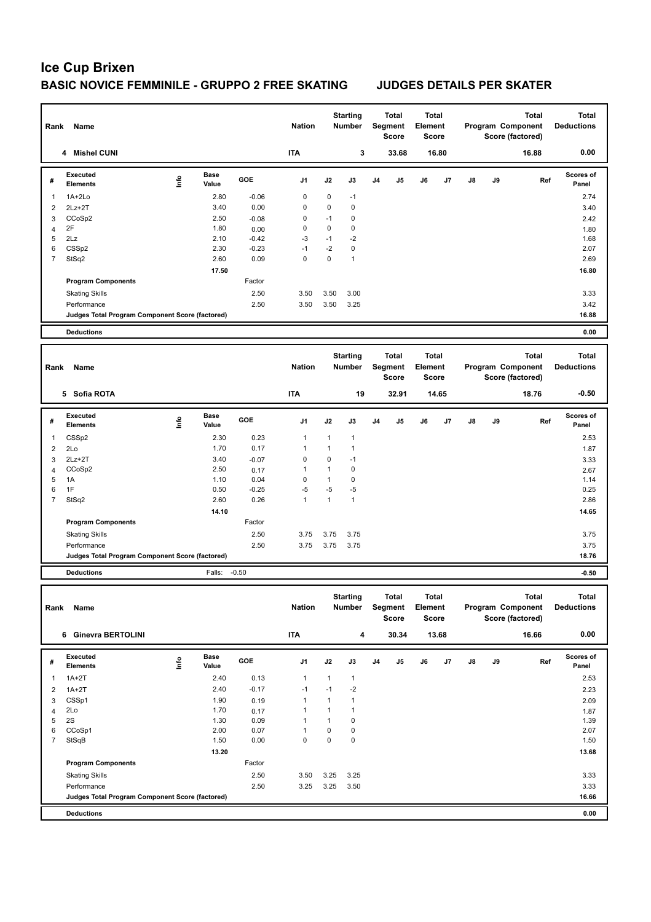| Rank                    | Name                                            |                                  |                      |                 | <b>Nation</b> |                      | <b>Starting</b><br>Number        |                | Total<br>Segment<br><b>Score</b> | Element | Total<br><b>Score</b> |    |    | Total<br>Program Component<br>Score (factored) | <b>Total</b><br><b>Deductions</b> |
|-------------------------|-------------------------------------------------|----------------------------------|----------------------|-----------------|---------------|----------------------|----------------------------------|----------------|----------------------------------|---------|-----------------------|----|----|------------------------------------------------|-----------------------------------|
|                         | 4 Mishel CUNI                                   |                                  |                      |                 | <b>ITA</b>    |                      | 3                                |                | 33.68                            |         | 16.80                 |    |    | 16.88                                          | 0.00                              |
| #                       | <b>Executed</b><br><b>Elements</b>              | Life                             | <b>Base</b><br>Value | GOE             | J1            | J2                   | J3                               | J4             | J5                               | J6      | J7                    | J8 | J9 | Ref                                            | <b>Scores of</b><br>Panel         |
| $\mathbf{1}$            | 1A+2Lo                                          |                                  | 2.80                 | $-0.06$         | 0             | 0                    | $-1$                             |                |                                  |         |                       |    |    |                                                | 2.74                              |
| $\overline{\mathbf{c}}$ | $2Lz+2T$                                        |                                  | 3.40                 | 0.00            | 0             | 0                    | 0                                |                |                                  |         |                       |    |    |                                                | 3.40                              |
| 3<br>4                  | CCoSp2<br>2F                                    |                                  | 2.50<br>1.80         | $-0.08$<br>0.00 | 0<br>0        | $-1$<br>0            | 0<br>0                           |                |                                  |         |                       |    |    |                                                | 2.42<br>1.80                      |
| 5                       | 2Lz                                             |                                  | 2.10                 | $-0.42$         | $-3$          | $-1$                 | $-2$                             |                |                                  |         |                       |    |    |                                                | 1.68                              |
| 6                       | CSSp2                                           |                                  | 2.30                 | $-0.23$         | $-1$          | $-2$                 | 0                                |                |                                  |         |                       |    |    |                                                | 2.07                              |
| $\overline{7}$          | StSq2                                           |                                  | 2.60                 | 0.09            | $\mathbf 0$   | $\pmb{0}$            | $\mathbf{1}$                     |                |                                  |         |                       |    |    |                                                | 2.69                              |
|                         |                                                 |                                  | 17.50                |                 |               |                      |                                  |                |                                  |         |                       |    |    |                                                | 16.80                             |
|                         | <b>Program Components</b>                       |                                  |                      | Factor          |               |                      |                                  |                |                                  |         |                       |    |    |                                                |                                   |
|                         | <b>Skating Skills</b>                           |                                  |                      | 2.50            | 3.50          | 3.50                 | 3.00                             |                |                                  |         |                       |    |    |                                                | 3.33                              |
|                         | Performance                                     |                                  |                      | 2.50            | 3.50          | 3.50                 | 3.25                             |                |                                  |         |                       |    |    |                                                | 3.42                              |
|                         | Judges Total Program Component Score (factored) |                                  |                      |                 |               |                      |                                  |                |                                  |         |                       |    |    |                                                | 16.88                             |
|                         | <b>Deductions</b>                               |                                  |                      |                 |               |                      |                                  |                |                                  |         |                       |    |    |                                                | 0.00                              |
|                         |                                                 |                                  |                      |                 |               |                      | <b>Starting</b>                  |                | Total                            |         | Total                 |    |    | <b>Total</b>                                   | Total                             |
| Rank                    | Name                                            |                                  |                      |                 | <b>Nation</b> |                      | Number                           |                | Segment<br><b>Score</b>          | Element | Score                 |    |    | Program Component<br>Score (factored)          | <b>Deductions</b>                 |
|                         | 5 Sofia ROTA                                    |                                  |                      |                 | <b>ITA</b>    |                      | 19                               |                | 32.91                            |         | 14.65                 |    |    | 18.76                                          | $-0.50$                           |
| #                       | <b>Executed</b><br><b>Elements</b>              | lnfo                             | Base<br>Value        | GOE             | J1            | J2                   | J3                               | J <sub>4</sub> | J5                               | J6      | J7                    | J8 | J9 | Ref                                            | Scores of<br>Panel                |
| 1                       | CSSp2                                           |                                  | 2.30                 | 0.23            | 1             | $\mathbf{1}$         | $\mathbf{1}$                     |                |                                  |         |                       |    |    |                                                | 2.53                              |
| $\overline{\mathbf{c}}$ | 2Lo                                             |                                  | 1.70                 | 0.17            | 1             | $\mathbf{1}$         | $\mathbf{1}$                     |                |                                  |         |                       |    |    |                                                | 1.87                              |
| 3                       | $2Lz + 2T$                                      |                                  | 3.40                 | $-0.07$         | 0             | 0                    | $-1$                             |                |                                  |         |                       |    |    |                                                | 3.33                              |
| $\overline{4}$          | CCoSp2                                          |                                  | 2.50                 | 0.17            | $\mathbf{1}$  | $\mathbf{1}$         | 0                                |                |                                  |         |                       |    |    |                                                | 2.67                              |
| 5<br>6                  | 1A<br>1F                                        |                                  | 1.10<br>0.50         | 0.04<br>$-0.25$ | 0<br>$-5$     | $\mathbf{1}$<br>$-5$ | 0<br>$-5$                        |                |                                  |         |                       |    |    |                                                | 1.14<br>0.25                      |
| $\overline{7}$          | StSq2                                           |                                  | 2.60                 | 0.26            | 1             | $\mathbf{1}$         | $\mathbf{1}$                     |                |                                  |         |                       |    |    |                                                | 2.86                              |
|                         |                                                 |                                  | 14.10                |                 |               |                      |                                  |                |                                  |         |                       |    |    |                                                | 14.65                             |
|                         | <b>Program Components</b>                       |                                  |                      | Factor          |               |                      |                                  |                |                                  |         |                       |    |    |                                                |                                   |
|                         | <b>Skating Skills</b>                           |                                  |                      | 2.50            | 3.75          | 3.75                 | 3.75                             |                |                                  |         |                       |    |    |                                                | 3.75                              |
|                         | Performance                                     |                                  |                      | 2.50            | 3.75          | 3.75                 | 3.75                             |                |                                  |         |                       |    |    |                                                | 3.75                              |
|                         | Judges Total Program Component Score (factored) |                                  |                      |                 |               |                      |                                  |                |                                  |         |                       |    |    |                                                | 18.76                             |
|                         | <b>Deductions</b>                               |                                  | Falls:               | $-0.50$         |               |                      |                                  |                |                                  |         |                       |    |    |                                                | $-0.50$                           |
| Rank                    | Name                                            |                                  |                      |                 | <b>Nation</b> |                      | <b>Starting</b><br><b>Number</b> |                | Total<br>Segment                 | Element | Total                 |    |    | Total<br>Program Component                     | Total<br><b>Deductions</b>        |
|                         | 6 Ginevra BERTOLINI                             |                                  |                      |                 | <b>ITA</b>    |                      | 4                                |                | Score<br>30.34                   |         | Score<br>13.68        |    |    | Score (factored)<br>16.66                      | 0.00                              |
|                         |                                                 |                                  |                      |                 |               |                      |                                  |                |                                  |         |                       |    |    |                                                |                                   |
| #                       | Executed<br>Elements                            | $\mathop{\mathsf{Irr}}\nolimits$ | Base<br>Value        | GOE             | J1            | J2                   | J3                               | J4             | J5                               | J6      | J7                    | J8 | J9 | Ref                                            | Scores of<br>Panel                |
| 1                       | $1A+2T$                                         |                                  | 2.40                 | 0.13            | $\mathbf{1}$  | $\mathbf{1}$         | $\mathbf{1}$                     |                |                                  |         |                       |    |    |                                                | 2.53                              |
| $\overline{2}$          | $1A+2T$<br>CSSp1                                |                                  | 2.40<br>1.90         | $-0.17$         | $-1$<br>1     | $-1$<br>1            | $-2$<br>1                        |                |                                  |         |                       |    |    |                                                | 2.23                              |
| 3<br>$\overline{4}$     | 2Lo                                             |                                  | 1.70                 | 0.19<br>0.17    | 1             | 1                    | $\mathbf{1}$                     |                |                                  |         |                       |    |    |                                                | 2.09<br>1.87                      |
| 5                       | 2S                                              |                                  | 1.30                 | 0.09            | 1             | 1                    | 0                                |                |                                  |         |                       |    |    |                                                | 1.39                              |
| 6                       | CCoSp1                                          |                                  | 2.00                 | 0.07            | 1             | 0                    | 0                                |                |                                  |         |                       |    |    |                                                | 2.07                              |
| $\overline{7}$          | StSqB                                           |                                  | 1.50                 | 0.00            | $\pmb{0}$     | 0                    | 0                                |                |                                  |         |                       |    |    |                                                | 1.50                              |
|                         |                                                 |                                  | 13.20                |                 |               |                      |                                  |                |                                  |         |                       |    |    |                                                | 13.68                             |
|                         | <b>Program Components</b>                       |                                  |                      | Factor          |               |                      |                                  |                |                                  |         |                       |    |    |                                                |                                   |
|                         | <b>Skating Skills</b>                           |                                  |                      | 2.50            | 3.50          | 3.25                 | 3.25                             |                |                                  |         |                       |    |    |                                                | 3.33                              |
|                         | Performance                                     |                                  |                      | 2.50            | 3.25          | 3.25                 | 3.50                             |                |                                  |         |                       |    |    |                                                | 3.33<br>16.66                     |
|                         | Judges Total Program Component Score (factored) |                                  |                      |                 |               |                      |                                  |                |                                  |         |                       |    |    |                                                |                                   |
|                         | <b>Deductions</b>                               |                                  |                      |                 |               |                      |                                  |                |                                  |         |                       |    |    |                                                | 0.00                              |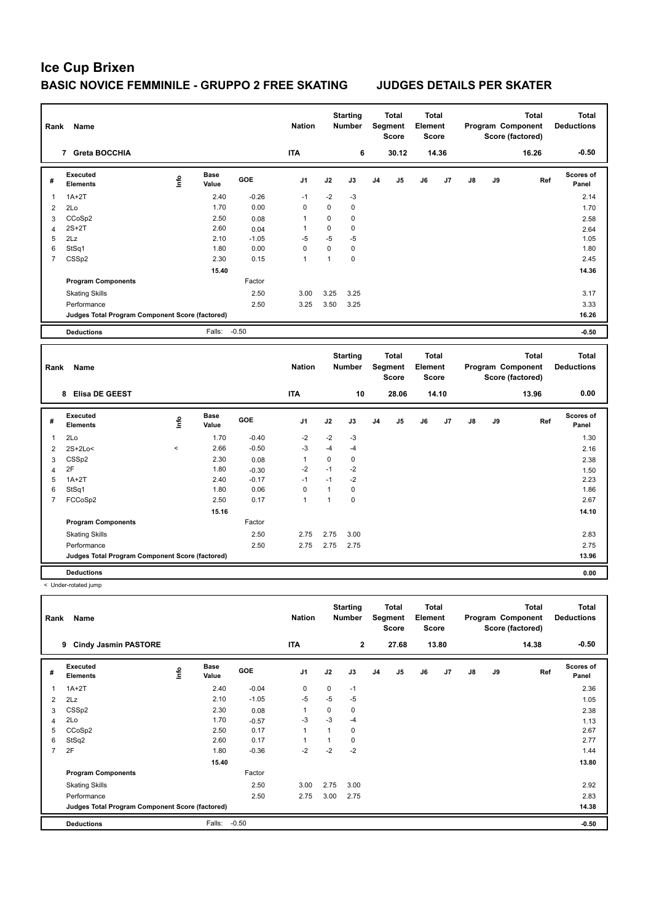| Rank           | Name                                            |                                  |                      |            | <b>Nation</b>  |              | <b>Starting</b><br><b>Number</b> |    | <b>Total</b><br>Segment<br><b>Score</b> | <b>Total</b><br>Element<br><b>Score</b> |       |    |    | <b>Total</b><br>Program Component<br>Score (factored) |     | <b>Total</b><br><b>Deductions</b> |
|----------------|-------------------------------------------------|----------------------------------|----------------------|------------|----------------|--------------|----------------------------------|----|-----------------------------------------|-----------------------------------------|-------|----|----|-------------------------------------------------------|-----|-----------------------------------|
|                | 7 Greta BOCCHIA                                 |                                  |                      |            | <b>ITA</b>     |              | 6                                |    | 30.12                                   |                                         | 14.36 |    |    | 16.26                                                 |     | $-0.50$                           |
| #              | Executed<br><b>Elements</b>                     | $\mathop{\mathsf{Int}}\nolimits$ | <b>Base</b><br>Value | <b>GOE</b> | J <sub>1</sub> | J2           | J3                               | J4 | J <sub>5</sub>                          | J6                                      | J7    | J8 | J9 |                                                       | Ref | Scores of<br>Panel                |
| 1              | $1A+2T$                                         |                                  | 2.40                 | $-0.26$    | $-1$           | $-2$         | $-3$                             |    |                                         |                                         |       |    |    |                                                       |     | 2.14                              |
| 2              | 2Lo                                             |                                  | 1.70                 | 0.00       | 0              | 0            | $\pmb{0}$                        |    |                                         |                                         |       |    |    |                                                       |     | 1.70                              |
| 3              | CCoSp2                                          |                                  | 2.50                 | 0.08       | $\mathbf{1}$   | 0            | $\mathbf 0$                      |    |                                         |                                         |       |    |    |                                                       |     | 2.58                              |
| 4              | $2S+2T$                                         |                                  | 2.60                 | 0.04       | $\mathbf{1}$   | 0            | $\mathbf 0$                      |    |                                         |                                         |       |    |    |                                                       |     | 2.64                              |
| 5              | 2Lz                                             |                                  | 2.10                 | $-1.05$    | $-5$           | $-5$         | $-5$                             |    |                                         |                                         |       |    |    |                                                       |     | 1.05                              |
| 6              | StSq1                                           |                                  | 1.80                 | 0.00       | 0              | 0            | $\mathbf 0$                      |    |                                         |                                         |       |    |    |                                                       |     | 1.80                              |
| $\overline{7}$ | CSSp2                                           |                                  | 2.30                 | 0.15       | 1              | $\mathbf{1}$ | $\mathbf 0$                      |    |                                         |                                         |       |    |    |                                                       |     | 2.45                              |
|                |                                                 |                                  | 15.40                |            |                |              |                                  |    |                                         |                                         |       |    |    |                                                       |     | 14.36                             |
|                | <b>Program Components</b>                       |                                  |                      | Factor     |                |              |                                  |    |                                         |                                         |       |    |    |                                                       |     |                                   |
|                | <b>Skating Skills</b>                           |                                  |                      | 2.50       | 3.00           | 3.25         | 3.25                             |    |                                         |                                         |       |    |    |                                                       |     | 3.17                              |
|                | Performance                                     |                                  |                      | 2.50       | 3.25           | 3.50         | 3.25                             |    |                                         |                                         |       |    |    |                                                       |     | 3.33                              |
|                | Judges Total Program Component Score (factored) |                                  |                      |            |                |              |                                  |    |                                         |                                         |       |    |    |                                                       |     | 16.26                             |
|                | <b>Deductions</b>                               |                                  | Falls: -0.50         |            |                |              |                                  |    |                                         |                                         |       |    |    |                                                       |     | $-0.50$                           |
|                |                                                 |                                  |                      |            |                |              |                                  |    |                                         |                                         |       |    |    |                                                       |     |                                   |
|                |                                                 |                                  |                      |            |                |              |                                  |    |                                         |                                         |       |    |    |                                                       |     |                                   |
| Rank           | Name                                            |                                  |                      |            | <b>Nation</b>  |              | <b>Starting</b><br>Number        |    | <b>Total</b><br>Segment<br><b>Score</b> | <b>Total</b><br>Element<br><b>Score</b> |       |    |    | <b>Total</b><br>Program Component<br>Score (factored) |     | <b>Total</b><br><b>Deductions</b> |
|                | 8 Elisa DE GEEST                                |                                  |                      |            | <b>ITA</b>     |              | 10                               |    | 28.06                                   |                                         | 14.10 |    |    | 13.96                                                 |     | 0.00                              |
| #              | Executed<br><b>Elements</b>                     | Info                             | <b>Base</b><br>Value | <b>GOE</b> | J <sub>1</sub> | J2           | J3                               | J4 | J <sub>5</sub>                          | J6                                      | J7    | J8 | J9 |                                                       | Ref | Scores of<br>Panel                |
| 1              | 2Lo                                             |                                  | 1.70                 | $-0.40$    | $-2$           | $-2$         | $-3$                             |    |                                         |                                         |       |    |    |                                                       |     | 1.30                              |
| 2              | 2S+2Lo<                                         | $\,<$                            | 2.66                 | $-0.50$    | $-3$           | $-4$         | $-4$                             |    |                                         |                                         |       |    |    |                                                       |     | 2.16                              |
| 3              | CSSp2                                           |                                  | 2.30                 | 0.08       | $\mathbf{1}$   | 0            | $\pmb{0}$                        |    |                                         |                                         |       |    |    |                                                       |     | 2.38                              |
| $\overline{4}$ | 2F                                              |                                  | 1.80                 | $-0.30$    | $-2$           | $-1$         | $-2$                             |    |                                         |                                         |       |    |    |                                                       |     | 1.50                              |
| 5              | $1A+2T$                                         |                                  | 2.40                 | $-0.17$    | $-1$           | $-1$         | $-2$                             |    |                                         |                                         |       |    |    |                                                       |     | 2.23                              |
| 6              | StSq1                                           |                                  | 1.80                 | 0.06       | $\mathbf 0$    | $\mathbf{1}$ | $\mathbf 0$                      |    |                                         |                                         |       |    |    |                                                       |     | 1.86                              |
| $\overline{7}$ | FCCoSp2                                         |                                  | 2.50                 | 0.17       | 1              | $\mathbf{1}$ | $\mathbf 0$                      |    |                                         |                                         |       |    |    |                                                       |     | 2.67                              |
|                |                                                 |                                  | 15.16                |            |                |              |                                  |    |                                         |                                         |       |    |    |                                                       |     | 14.10                             |
|                | <b>Program Components</b>                       |                                  |                      | Factor     |                |              |                                  |    |                                         |                                         |       |    |    |                                                       |     |                                   |
|                | <b>Skating Skills</b>                           |                                  |                      | 2.50       | 2.75           | 2.75         | 3.00                             |    |                                         |                                         |       |    |    |                                                       |     | 2.83                              |
|                | Performance                                     |                                  |                      | 2.50       | 2.75           | 2.75         | 2.75                             |    |                                         |                                         |       |    |    |                                                       |     | 2.75                              |
|                | Judges Total Program Component Score (factored) |                                  |                      |            |                |              |                                  |    |                                         |                                         |       |    |    |                                                       |     | 13.96                             |

< Under-rotated jump

| Rank           | <b>Name</b>                                     |             |                      |         | <b>Nation</b>  |      | <b>Starting</b><br>Number |    | Total<br>Segment<br><b>Score</b> | <b>Total</b><br>Element<br>Score |       |               |    | <b>Total</b><br>Program Component<br>Score (factored) | <b>Total</b><br><b>Deductions</b> |
|----------------|-------------------------------------------------|-------------|----------------------|---------|----------------|------|---------------------------|----|----------------------------------|----------------------------------|-------|---------------|----|-------------------------------------------------------|-----------------------------------|
|                | <b>Cindy Jasmin PASTORE</b><br>9                |             |                      |         | <b>ITA</b>     |      | $\overline{2}$            |    | 27.68                            |                                  | 13.80 |               |    | 14.38                                                 | $-0.50$                           |
| #              | Executed<br><b>Elements</b>                     | <b>Info</b> | <b>Base</b><br>Value | GOE     | J <sub>1</sub> | J2   | J3                        | J4 | J <sub>5</sub>                   | J6                               | J7    | $\mathsf{J}8$ | J9 | Ref                                                   | <b>Scores of</b><br>Panel         |
| 1              | $1A+2T$                                         |             | 2.40                 | $-0.04$ | $\mathbf 0$    | 0    | $-1$                      |    |                                  |                                  |       |               |    |                                                       | 2.36                              |
| 2              | 2Lz                                             |             | 2.10                 | $-1.05$ | $-5$           | $-5$ | $-5$                      |    |                                  |                                  |       |               |    |                                                       | 1.05                              |
| 3              | CSSp2                                           |             | 2.30                 | 0.08    | $\overline{1}$ | 0    | 0                         |    |                                  |                                  |       |               |    |                                                       | 2.38                              |
| 4              | 2Lo                                             |             | 1.70                 | $-0.57$ | -3             | $-3$ | $-4$                      |    |                                  |                                  |       |               |    |                                                       | 1.13                              |
| 5              | CCoSp2                                          |             | 2.50                 | 0.17    | $\overline{1}$ | 1    | $\mathbf 0$               |    |                                  |                                  |       |               |    |                                                       | 2.67                              |
| 6              | StSq2                                           |             | 2.60                 | 0.17    |                |      | 0                         |    |                                  |                                  |       |               |    |                                                       | 2.77                              |
| $\overline{7}$ | 2F                                              |             | 1.80                 | $-0.36$ | $-2$           | $-2$ | $-2$                      |    |                                  |                                  |       |               |    |                                                       | 1.44                              |
|                |                                                 |             | 15.40                |         |                |      |                           |    |                                  |                                  |       |               |    |                                                       | 13.80                             |
|                | <b>Program Components</b>                       |             |                      | Factor  |                |      |                           |    |                                  |                                  |       |               |    |                                                       |                                   |
|                | <b>Skating Skills</b>                           |             |                      | 2.50    | 3.00           | 2.75 | 3.00                      |    |                                  |                                  |       |               |    |                                                       | 2.92                              |
|                | Performance                                     |             |                      | 2.50    | 2.75           | 3.00 | 2.75                      |    |                                  |                                  |       |               |    |                                                       | 2.83                              |
|                | Judges Total Program Component Score (factored) |             |                      |         |                |      |                           |    |                                  |                                  |       |               |    |                                                       | 14.38                             |
|                | <b>Deductions</b>                               |             | Falls:               | $-0.50$ |                |      |                           |    |                                  |                                  |       |               |    |                                                       | $-0.50$                           |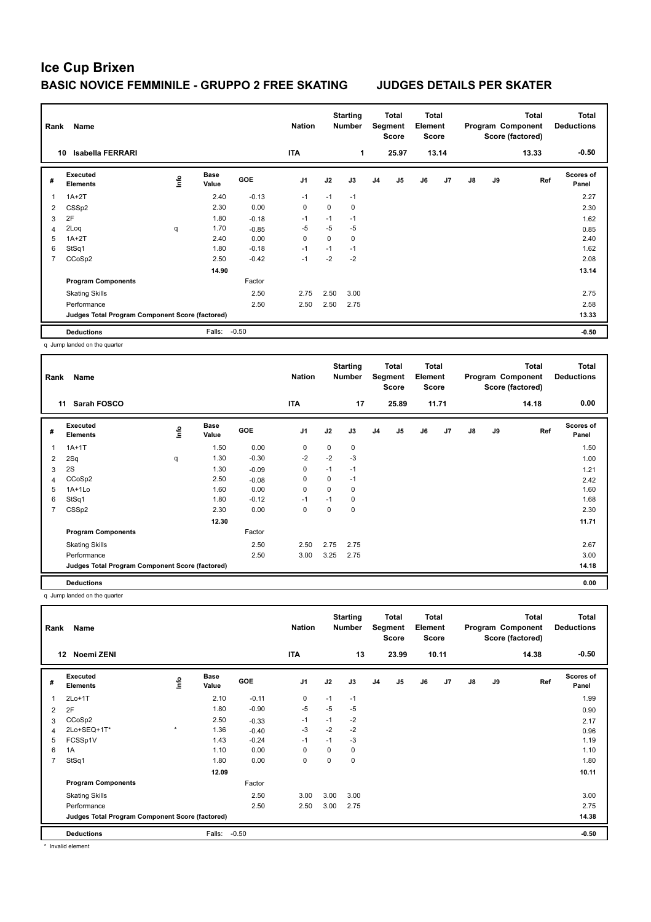| Rank                    | Name                                            |    |                      |         | <b>Nation</b>  |             | <b>Starting</b><br><b>Number</b> |                | Total<br>Segment<br><b>Score</b> | <b>Total</b><br>Element<br><b>Score</b> |                |               |    | <b>Total</b><br>Program Component<br>Score (factored) | <b>Total</b><br><b>Deductions</b> |
|-------------------------|-------------------------------------------------|----|----------------------|---------|----------------|-------------|----------------------------------|----------------|----------------------------------|-----------------------------------------|----------------|---------------|----|-------------------------------------------------------|-----------------------------------|
|                         | <b>Isabella FERRARI</b><br>10                   |    |                      |         | <b>ITA</b>     |             | 1                                |                | 25.97                            |                                         | 13.14          |               |    | 13.33                                                 | $-0.50$                           |
| #                       | Executed<br><b>Elements</b>                     | ۴ů | <b>Base</b><br>Value | GOE     | J <sub>1</sub> | J2          | J3                               | J <sub>4</sub> | J <sub>5</sub>                   | J6                                      | J <sub>7</sub> | $\mathsf{J}8$ | J9 | Ref                                                   | Scores of<br>Panel                |
| $\overline{\mathbf{1}}$ | $1A+2T$                                         |    | 2.40                 | $-0.13$ | $-1$           | $-1$        | $-1$                             |                |                                  |                                         |                |               |    |                                                       | 2.27                              |
| 2                       | CSSp2                                           |    | 2.30                 | 0.00    | $\mathbf 0$    | $\mathbf 0$ | 0                                |                |                                  |                                         |                |               |    |                                                       | 2.30                              |
| 3                       | 2F                                              |    | 1.80                 | $-0.18$ | $-1$           | $-1$        | $-1$                             |                |                                  |                                         |                |               |    |                                                       | 1.62                              |
| 4                       | 2Loq                                            | q  | 1.70                 | $-0.85$ | $-5$           | $-5$        | $-5$                             |                |                                  |                                         |                |               |    |                                                       | 0.85                              |
| 5                       | $1A+2T$                                         |    | 2.40                 | 0.00    | $\mathbf 0$    | 0           | 0                                |                |                                  |                                         |                |               |    |                                                       | 2.40                              |
| 6                       | StSq1                                           |    | 1.80                 | $-0.18$ | $-1$           | $-1$        | $-1$                             |                |                                  |                                         |                |               |    |                                                       | 1.62                              |
| $\overline{7}$          | CCoSp2                                          |    | 2.50                 | $-0.42$ | $-1$           | $-2$        | $-2$                             |                |                                  |                                         |                |               |    |                                                       | 2.08                              |
|                         |                                                 |    | 14.90                |         |                |             |                                  |                |                                  |                                         |                |               |    |                                                       | 13.14                             |
|                         | <b>Program Components</b>                       |    |                      | Factor  |                |             |                                  |                |                                  |                                         |                |               |    |                                                       |                                   |
|                         | <b>Skating Skills</b>                           |    |                      | 2.50    | 2.75           | 2.50        | 3.00                             |                |                                  |                                         |                |               |    |                                                       | 2.75                              |
|                         | Performance                                     |    |                      | 2.50    | 2.50           | 2.50        | 2.75                             |                |                                  |                                         |                |               |    |                                                       | 2.58                              |
|                         | Judges Total Program Component Score (factored) |    |                      |         |                |             |                                  |                |                                  |                                         |                |               |    |                                                       | 13.33                             |
|                         | <b>Deductions</b>                               |    | Falls:               | $-0.50$ |                |             |                                  |                |                                  |                                         |                |               |    |                                                       | $-0.50$                           |
|                         |                                                 |    |                      |         |                |             |                                  |                |                                  |                                         |                |               |    |                                                       |                                   |

q Jump landed on the quarter

| Rank | Name                                            |   |                      |         | <b>Nation</b>  |             | <b>Starting</b><br><b>Number</b> |                | <b>Total</b><br>Segment<br><b>Score</b> | <b>Total</b><br>Element<br><b>Score</b> |       |               |    | Total<br>Program Component<br>Score (factored) | <b>Total</b><br><b>Deductions</b> |
|------|-------------------------------------------------|---|----------------------|---------|----------------|-------------|----------------------------------|----------------|-----------------------------------------|-----------------------------------------|-------|---------------|----|------------------------------------------------|-----------------------------------|
|      | Sarah FOSCO<br>11                               |   |                      |         | <b>ITA</b>     |             | 17                               |                | 25.89                                   |                                         | 11.71 |               |    | 14.18                                          | 0.00                              |
| #    | Executed<br><b>Elements</b>                     | 을 | <b>Base</b><br>Value | GOE     | J <sub>1</sub> | J2          | J3                               | J <sub>4</sub> | J <sub>5</sub>                          | J6                                      | J7    | $\mathsf{J}8$ | J9 | Ref                                            | <b>Scores of</b><br>Panel         |
| 1    | $1A+1T$                                         |   | 1.50                 | 0.00    | 0              | $\mathbf 0$ | 0                                |                |                                         |                                         |       |               |    |                                                | 1.50                              |
| 2    | 2Sq                                             | q | 1.30                 | $-0.30$ | $-2$           | $-2$        | $-3$                             |                |                                         |                                         |       |               |    |                                                | 1.00                              |
| 3    | 2S                                              |   | 1.30                 | $-0.09$ | 0              | $-1$        | $-1$                             |                |                                         |                                         |       |               |    |                                                | 1.21                              |
| 4    | CCoSp2                                          |   | 2.50                 | $-0.08$ | 0              | 0           | $-1$                             |                |                                         |                                         |       |               |    |                                                | 2.42                              |
| 5    | $1A+1Lo$                                        |   | 1.60                 | 0.00    | $\mathbf 0$    | 0           | 0                                |                |                                         |                                         |       |               |    |                                                | 1.60                              |
| 6    | StSq1                                           |   | 1.80                 | $-0.12$ | $-1$           | $-1$        | 0                                |                |                                         |                                         |       |               |    |                                                | 1.68                              |
| 7    | CSSp2                                           |   | 2.30                 | 0.00    | 0              | 0           | 0                                |                |                                         |                                         |       |               |    |                                                | 2.30                              |
|      |                                                 |   | 12.30                |         |                |             |                                  |                |                                         |                                         |       |               |    |                                                | 11.71                             |
|      | <b>Program Components</b>                       |   |                      | Factor  |                |             |                                  |                |                                         |                                         |       |               |    |                                                |                                   |
|      | <b>Skating Skills</b>                           |   |                      | 2.50    | 2.50           | 2.75        | 2.75                             |                |                                         |                                         |       |               |    |                                                | 2.67                              |
|      | Performance                                     |   |                      | 2.50    | 3.00           | 3.25        | 2.75                             |                |                                         |                                         |       |               |    |                                                | 3.00                              |
|      | Judges Total Program Component Score (factored) |   |                      |         |                |             |                                  |                |                                         |                                         |       |               |    |                                                | 14.18                             |
|      | <b>Deductions</b>                               |   |                      |         |                |             |                                  |                |                                         |                                         |       |               |    |                                                | 0.00                              |

q Jump landed on the quarter

| Rank           | Name                                            |            |               |            | <b>Nation</b>  |      | <b>Starting</b><br><b>Number</b> |                | Total<br>Segment<br><b>Score</b> | Total<br>Element<br><b>Score</b> |       |               |    | <b>Total</b><br>Program Component<br>Score (factored) | Total<br><b>Deductions</b> |
|----------------|-------------------------------------------------|------------|---------------|------------|----------------|------|----------------------------------|----------------|----------------------------------|----------------------------------|-------|---------------|----|-------------------------------------------------------|----------------------------|
|                | Noemi ZENI<br>$12 \,$                           |            |               |            | <b>ITA</b>     |      | 13                               |                | 23.99                            |                                  | 10.11 |               |    | 14.38                                                 | $-0.50$                    |
| #              | Executed<br>Elements                            | <u>f</u> o | Base<br>Value | <b>GOE</b> | J <sub>1</sub> | J2   | J3                               | J <sub>4</sub> | J <sub>5</sub>                   | J6                               | J7    | $\mathsf{J}8$ | J9 | Ref                                                   | <b>Scores of</b><br>Panel  |
|                | $2Lo+1T$                                        |            | 2.10          | $-0.11$    | 0              | $-1$ | $-1$                             |                |                                  |                                  |       |               |    |                                                       | 1.99                       |
| $\overline{2}$ | 2F                                              |            | 1.80          | $-0.90$    | $-5$           | $-5$ | $-5$                             |                |                                  |                                  |       |               |    |                                                       | 0.90                       |
| 3              | CCoSp2                                          |            | 2.50          | $-0.33$    | $-1$           | $-1$ | $-2$                             |                |                                  |                                  |       |               |    |                                                       | 2.17                       |
| 4              | 2Lo+SEQ+1T*                                     | $\star$    | 1.36          | $-0.40$    | -3             | $-2$ | $-2$                             |                |                                  |                                  |       |               |    |                                                       | 0.96                       |
| 5              | FCSSp1V                                         |            | 1.43          | $-0.24$    | $-1$           | $-1$ | $-3$                             |                |                                  |                                  |       |               |    |                                                       | 1.19                       |
| 6              | 1A                                              |            | 1.10          | 0.00       | 0              | 0    | 0                                |                |                                  |                                  |       |               |    |                                                       | 1.10                       |
| $\overline{7}$ | StSq1                                           |            | 1.80          | 0.00       | 0              | 0    | 0                                |                |                                  |                                  |       |               |    |                                                       | 1.80                       |
|                |                                                 |            | 12.09         |            |                |      |                                  |                |                                  |                                  |       |               |    |                                                       | 10.11                      |
|                | <b>Program Components</b>                       |            |               | Factor     |                |      |                                  |                |                                  |                                  |       |               |    |                                                       |                            |
|                | <b>Skating Skills</b>                           |            |               | 2.50       | 3.00           | 3.00 | 3.00                             |                |                                  |                                  |       |               |    |                                                       | 3.00                       |
|                | Performance                                     |            |               | 2.50       | 2.50           | 3.00 | 2.75                             |                |                                  |                                  |       |               |    |                                                       | 2.75                       |
|                | Judges Total Program Component Score (factored) |            |               |            |                |      |                                  |                |                                  |                                  |       |               |    |                                                       | 14.38                      |
|                | <b>Deductions</b>                               |            | Falls:        | $-0.50$    |                |      |                                  |                |                                  |                                  |       |               |    |                                                       | $-0.50$                    |

\* Invalid element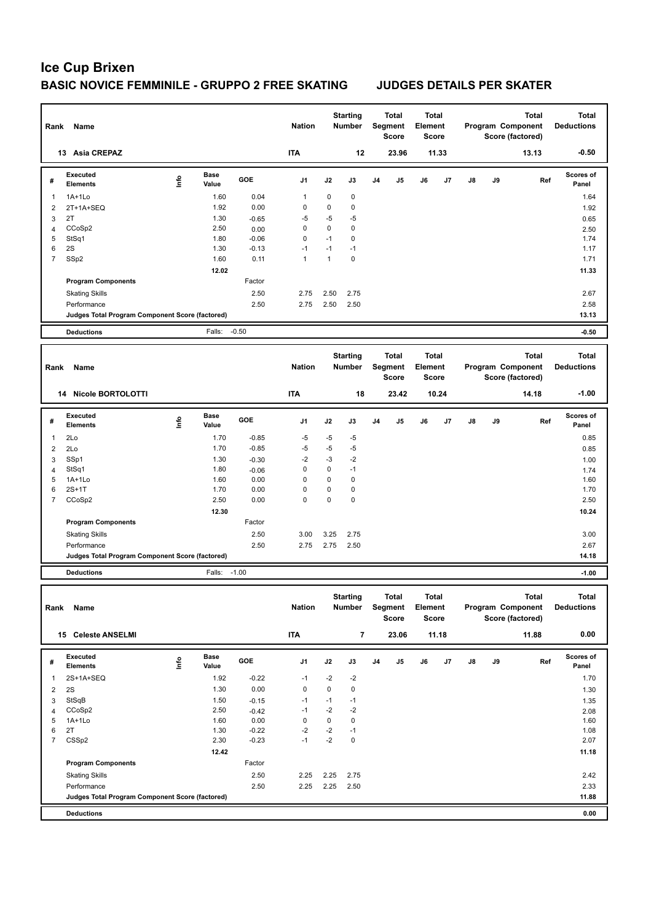| Rank                    | Name                                            |                                |                      |                 | <b>Nation</b>            |                     | <b>Starting</b><br><b>Number</b> |                | <b>Total</b><br>Segment<br><b>Score</b> | Element | Total<br><b>Score</b> |    |    | Total<br>Program Component<br>Score (factored) | Total<br><b>Deductions</b> |
|-------------------------|-------------------------------------------------|--------------------------------|----------------------|-----------------|--------------------------|---------------------|----------------------------------|----------------|-----------------------------------------|---------|-----------------------|----|----|------------------------------------------------|----------------------------|
|                         | 13 Asia CREPAZ                                  |                                |                      |                 | <b>ITA</b>               |                     | 12                               |                | 23.96                                   |         | 11.33                 |    |    | 13.13                                          | $-0.50$                    |
| #                       | Executed<br><b>Elements</b>                     | lnfo                           | <b>Base</b><br>Value | GOE             | J1                       | J2                  | J3                               | J <sub>4</sub> | J5                                      | J6      | J7                    | J8 | J9 | Ref                                            | <b>Scores of</b><br>Panel  |
| 1                       | 1A+1Lo                                          |                                | 1.60                 | 0.04            | 1                        | $\mathbf 0$         | 0                                |                |                                         |         |                       |    |    |                                                | 1.64                       |
| 2                       | 2T+1A+SEQ                                       |                                | 1.92                 | 0.00            | 0                        | 0                   | 0                                |                |                                         |         |                       |    |    |                                                | 1.92                       |
| 3                       | 2T                                              |                                | 1.30                 | $-0.65$         | $-5$                     | $-5$                | $-5$                             |                |                                         |         |                       |    |    |                                                | 0.65                       |
| 4<br>5                  | CCoSp2                                          |                                | 2.50<br>1.80         | 0.00<br>$-0.06$ | $\mathbf 0$<br>$\pmb{0}$ | $\mathbf 0$<br>$-1$ | 0<br>0                           |                |                                         |         |                       |    |    |                                                | 2.50<br>1.74               |
| 6                       | StSq1<br>2S                                     |                                | 1.30                 | $-0.13$         | $-1$                     | $-1$                | $-1$                             |                |                                         |         |                       |    |    |                                                | 1.17                       |
| $\overline{7}$          | SSp2                                            |                                | 1.60                 | 0.11            | $\mathbf{1}$             | $\mathbf{1}$        | 0                                |                |                                         |         |                       |    |    |                                                | 1.71                       |
|                         |                                                 |                                | 12.02                |                 |                          |                     |                                  |                |                                         |         |                       |    |    |                                                | 11.33                      |
|                         | <b>Program Components</b>                       |                                |                      | Factor          |                          |                     |                                  |                |                                         |         |                       |    |    |                                                |                            |
|                         | <b>Skating Skills</b>                           |                                |                      | 2.50            | 2.75                     | 2.50                | 2.75                             |                |                                         |         |                       |    |    |                                                | 2.67                       |
|                         | Performance                                     |                                |                      | 2.50            | 2.75                     | 2.50                | 2.50                             |                |                                         |         |                       |    |    |                                                | 2.58                       |
|                         | Judges Total Program Component Score (factored) |                                |                      |                 |                          |                     |                                  |                |                                         |         |                       |    |    |                                                | 13.13                      |
|                         | <b>Deductions</b>                               |                                | Falls:               | $-0.50$         |                          |                     |                                  |                |                                         |         |                       |    |    |                                                | $-0.50$                    |
|                         |                                                 |                                |                      |                 |                          |                     | <b>Starting</b>                  |                | Total                                   |         | Total                 |    |    | <b>Total</b>                                   | <b>Total</b>               |
| Rank                    | Name                                            |                                |                      |                 | <b>Nation</b>            |                     | <b>Number</b>                    |                | Segment                                 | Element |                       |    |    | Program Component                              | <b>Deductions</b>          |
|                         | 14 Nicole BORTOLOTTI                            |                                |                      |                 | <b>ITA</b>               |                     | 18                               |                | <b>Score</b><br>23.42                   |         | <b>Score</b><br>10.24 |    |    | Score (factored)<br>14.18                      | $-1.00$                    |
|                         |                                                 |                                |                      |                 |                          |                     |                                  |                |                                         |         |                       |    |    |                                                |                            |
| #                       | <b>Executed</b><br><b>Elements</b>              | lnfo                           | <b>Base</b><br>Value | GOE             | J1                       | J2                  | J3                               | J <sub>4</sub> | J5                                      | J6      | J7                    | J8 | J9 | Ref                                            | Scores of<br>Panel         |
| 1                       | 2Lo                                             |                                | 1.70                 | $-0.85$         | $-5$                     | $-5$                | -5                               |                |                                         |         |                       |    |    |                                                | 0.85                       |
| 2                       | 2Lo                                             |                                | 1.70                 | $-0.85$         | $-5$                     | -5                  | $-5$                             |                |                                         |         |                       |    |    |                                                | 0.85                       |
| 3                       | SSp1                                            |                                | 1.30                 | $-0.30$         | $-2$                     | -3                  | $-2$                             |                |                                         |         |                       |    |    |                                                | 1.00                       |
| $\overline{4}$<br>5     | StSq1<br>1A+1Lo                                 |                                | 1.80<br>1.60         | $-0.06$<br>0.00 | $\pmb{0}$<br>0           | $\mathbf 0$<br>0    | $-1$<br>0                        |                |                                         |         |                       |    |    |                                                | 1.74<br>1.60               |
| 6                       | $2S+1T$                                         |                                | 1.70                 | 0.00            | $\pmb{0}$                | 0                   | 0                                |                |                                         |         |                       |    |    |                                                | 1.70                       |
| 7                       | CCoSp2                                          |                                | 2.50                 | 0.00            | 0                        | $\mathbf 0$         | 0                                |                |                                         |         |                       |    |    |                                                | 2.50                       |
|                         |                                                 |                                | 12.30                |                 |                          |                     |                                  |                |                                         |         |                       |    |    |                                                | 10.24                      |
|                         | <b>Program Components</b>                       |                                |                      | Factor          |                          |                     |                                  |                |                                         |         |                       |    |    |                                                |                            |
|                         | <b>Skating Skills</b>                           |                                |                      | 2.50            | 3.00                     | 3.25                | 2.75                             |                |                                         |         |                       |    |    |                                                | 3.00                       |
|                         | Performance                                     |                                |                      | 2.50            | 2.75                     | 2.75                | 2.50                             |                |                                         |         |                       |    |    |                                                | 2.67                       |
|                         | Judges Total Program Component Score (factored) |                                |                      |                 |                          |                     |                                  |                |                                         |         |                       |    |    |                                                | 14.18                      |
|                         | <b>Deductions</b>                               |                                | Falls:               | $-1.00$         |                          |                     |                                  |                |                                         |         |                       |    |    |                                                | $-1.00$                    |
|                         |                                                 |                                |                      |                 |                          |                     |                                  |                |                                         |         |                       |    |    |                                                |                            |
|                         | Rank Name                                       |                                |                      |                 | <b>Nation</b>            |                     | <b>Starting</b><br><b>Number</b> |                | Total<br>Segment                        | Element | Total                 |    |    | Total<br>Program Component                     | Total<br><b>Deductions</b> |
|                         |                                                 |                                |                      |                 |                          |                     |                                  |                | Score                                   |         | Score                 |    |    | Score (factored)                               |                            |
|                         | 15 Celeste ANSELMI                              |                                |                      |                 | <b>ITA</b>               |                     | $\overline{7}$                   |                | 23.06                                   |         | 11.18                 |    |    | 11.88                                          | 0.00                       |
|                         | Executed                                        |                                | Base                 | GOE             |                          |                     |                                  |                |                                         |         |                       |    |    |                                                | Scores of                  |
| #                       | <b>Elements</b>                                 | $\mathop{\mathsf{I}}\nolimits$ | Value                |                 | J1                       | J2                  | J3                               | J4             | J5                                      | J6      | J7                    | J8 | J9 | Ref                                            | Panel                      |
| 1                       | 2S+1A+SEQ                                       |                                | 1.92                 | $-0.22$         | $-1$                     | $-2$                | $-2$                             |                |                                         |         |                       |    |    |                                                | 1.70                       |
| $\overline{\mathbf{c}}$ | 2S                                              |                                | 1.30                 | 0.00            | $\pmb{0}$                | $\pmb{0}$           | 0                                |                |                                         |         |                       |    |    |                                                | 1.30                       |
| 3                       | StSqB                                           |                                | 1.50                 | $-0.15$         | $-1$                     | $-1$                | $-1$                             |                |                                         |         |                       |    |    |                                                | 1.35                       |
| $\overline{4}$          | CCoSp2                                          |                                | 2.50                 | $-0.42$         | $-1$                     | $-2$                | $-2$                             |                |                                         |         |                       |    |    |                                                | 2.08                       |
| 5<br>6                  | 1A+1Lo<br>2T                                    |                                | 1.60<br>1.30         | 0.00<br>$-0.22$ | 0<br>$-2$                | 0<br>$-2$           | 0<br>$-1$                        |                |                                         |         |                       |    |    |                                                | 1.60<br>1.08               |
| $\overline{7}$          | CSSp2                                           |                                | 2.30                 | $-0.23$         | $-1$                     | $-2$                | 0                                |                |                                         |         |                       |    |    |                                                | 2.07                       |
|                         |                                                 |                                | 12.42                |                 |                          |                     |                                  |                |                                         |         |                       |    |    |                                                | 11.18                      |
|                         | <b>Program Components</b>                       |                                |                      | Factor          |                          |                     |                                  |                |                                         |         |                       |    |    |                                                |                            |
|                         | <b>Skating Skills</b>                           |                                |                      | 2.50            | 2.25                     | 2.25                | 2.75                             |                |                                         |         |                       |    |    |                                                | 2.42                       |
|                         | Performance                                     |                                |                      | 2.50            | 2.25                     | 2.25                | 2.50                             |                |                                         |         |                       |    |    |                                                | 2.33                       |
|                         | Judges Total Program Component Score (factored) |                                |                      |                 |                          |                     |                                  |                |                                         |         |                       |    |    |                                                | 11.88                      |
|                         |                                                 |                                |                      |                 |                          |                     |                                  |                |                                         |         |                       |    |    |                                                | 0.00                       |
|                         | <b>Deductions</b>                               |                                |                      |                 |                          |                     |                                  |                |                                         |         |                       |    |    |                                                |                            |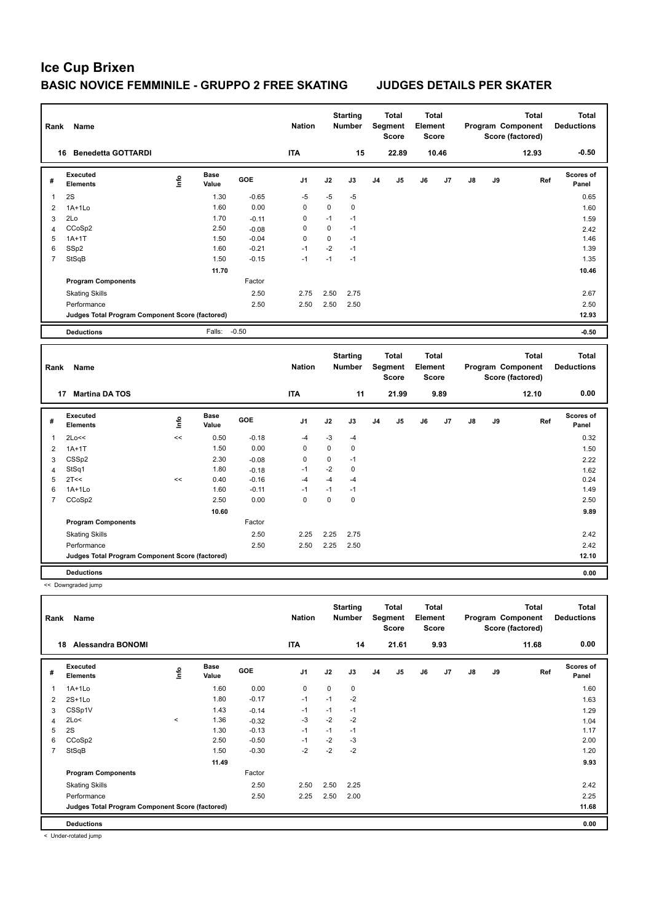| Rank           | <b>Name</b>                                     |      |                      |         | <b>Nation</b>  |      | <b>Starting</b><br>Number |    | <b>Total</b><br>Segment<br><b>Score</b> | Total<br>Element<br><b>Score</b>        |       |    |    | <b>Total</b><br>Program Component<br>Score (factored) | <b>Total</b><br><b>Deductions</b> |
|----------------|-------------------------------------------------|------|----------------------|---------|----------------|------|---------------------------|----|-----------------------------------------|-----------------------------------------|-------|----|----|-------------------------------------------------------|-----------------------------------|
|                | 16 Benedetta GOTTARDI                           |      |                      |         | <b>ITA</b>     |      | 15                        |    | 22.89                                   |                                         | 10.46 |    |    | 12.93                                                 | $-0.50$                           |
| #              | <b>Executed</b><br><b>Elements</b>              | lnfo | <b>Base</b><br>Value | GOE     | J <sub>1</sub> | J2   | J3                        | J4 | J <sub>5</sub>                          | J6                                      | J7    | J8 | J9 | Ref                                                   | Scores of<br>Panel                |
| 1              | 2S                                              |      | 1.30                 | $-0.65$ | $-5$           | $-5$ | -5                        |    |                                         |                                         |       |    |    |                                                       | 0.65                              |
| $\overline{2}$ | $1A+1L0$                                        |      | 1.60                 | 0.00    | 0              | 0    | $\mathbf 0$               |    |                                         |                                         |       |    |    |                                                       | 1.60                              |
| 3              | 2Lo                                             |      | 1.70                 | $-0.11$ | $\mathbf 0$    | $-1$ | $-1$                      |    |                                         |                                         |       |    |    |                                                       | 1.59                              |
| 4              | CCoSp2                                          |      | 2.50                 | $-0.08$ | 0              | 0    | $-1$                      |    |                                         |                                         |       |    |    |                                                       | 2.42                              |
| 5              | $1A+1T$                                         |      | 1.50                 | $-0.04$ | $\Omega$       | 0    | $-1$                      |    |                                         |                                         |       |    |    |                                                       | 1.46                              |
| 6              | SSp2                                            |      | 1.60                 | $-0.21$ | $-1$           | $-2$ | $-1$                      |    |                                         |                                         |       |    |    |                                                       | 1.39                              |
| $\overline{7}$ | StSqB                                           |      | 1.50                 | $-0.15$ | $-1$           | $-1$ | $-1$                      |    |                                         |                                         |       |    |    |                                                       | 1.35                              |
|                |                                                 |      | 11.70                |         |                |      |                           |    |                                         |                                         |       |    |    |                                                       | 10.46                             |
|                | <b>Program Components</b>                       |      |                      | Factor  |                |      |                           |    |                                         |                                         |       |    |    |                                                       |                                   |
|                | <b>Skating Skills</b>                           |      |                      | 2.50    | 2.75           | 2.50 | 2.75                      |    |                                         |                                         |       |    |    |                                                       | 2.67                              |
|                | Performance                                     |      |                      | 2.50    | 2.50           | 2.50 | 2.50                      |    |                                         |                                         |       |    |    |                                                       | 2.50                              |
|                | Judges Total Program Component Score (factored) |      |                      |         |                |      |                           |    |                                         |                                         |       |    |    |                                                       | 12.93                             |
|                |                                                 |      |                      |         |                |      |                           |    |                                         |                                         |       |    |    |                                                       |                                   |
|                | <b>Deductions</b>                               |      | Falls:               | $-0.50$ |                |      |                           |    |                                         |                                         |       |    |    |                                                       | $-0.50$                           |
| Rank           | Name                                            |      |                      |         | <b>Nation</b>  |      | <b>Starting</b><br>Number |    | <b>Total</b><br>Segment<br><b>Score</b> | <b>Total</b><br>Element<br><b>Score</b> |       |    |    | <b>Total</b><br>Program Component<br>Score (factored) | <b>Total</b><br><b>Deductions</b> |
|                | 17 Martina DA TOS                               |      |                      |         | <b>ITA</b>     |      | 11                        |    | 21.99                                   |                                         | 9.89  |    |    | 12.10                                                 | 0.00                              |
| #              | <b>Executed</b><br><b>Elements</b>              | lnfo | <b>Base</b><br>Value | GOE     | J <sub>1</sub> | J2   | J3                        | J4 | J <sub>5</sub>                          | J6                                      | J7    | J8 | J9 | Ref                                                   | Scores of<br>Panel                |
| 1              | 2Lo<<                                           | <<   | 0.50                 | $-0.18$ | $-4$           | $-3$ | $-4$                      |    |                                         |                                         |       |    |    |                                                       | 0.32                              |
| 2              | $1A+1T$                                         |      | 1.50                 | 0.00    | 0              | 0    | $\mathbf 0$               |    |                                         |                                         |       |    |    |                                                       | 1.50                              |
| 3              | CSSp2                                           |      | 2.30                 | $-0.08$ | $\mathsf 0$    | 0    | $-1$                      |    |                                         |                                         |       |    |    |                                                       | 2.22                              |
| 4              | StSq1                                           |      | 1.80                 | $-0.18$ | $-1$           | $-2$ | $\mathbf 0$               |    |                                         |                                         |       |    |    |                                                       | 1.62                              |
| 5              | 2T<<                                            | <<   | 0.40                 | $-0.16$ | $-4$           | $-4$ | $-4$                      |    |                                         |                                         |       |    |    |                                                       | 0.24                              |
| 6              | $1A+1L0$                                        |      | 1.60                 | $-0.11$ | $-1$           | $-1$ | $-1$                      |    |                                         |                                         |       |    |    |                                                       | 1.49                              |
| $\overline{7}$ | CCoSp2                                          |      | 2.50                 | 0.00    | $\mathbf 0$    | 0    | $\mathbf 0$               |    |                                         |                                         |       |    |    |                                                       | 2.50                              |
|                |                                                 |      | 10.60                |         |                |      |                           |    |                                         |                                         |       |    |    |                                                       | 9.89                              |
|                | <b>Program Components</b>                       |      |                      | Factor  |                |      |                           |    |                                         |                                         |       |    |    |                                                       |                                   |
|                | <b>Skating Skills</b>                           |      |                      | 2.50    | 2.25           | 2.25 | 2.75                      |    |                                         |                                         |       |    |    |                                                       | 2.42                              |
|                | Performance                                     |      |                      | 2.50    | 2.50           | 2.25 | 2.50                      |    |                                         |                                         |       |    |    |                                                       | 2.42                              |
|                | Judges Total Program Component Score (factored) |      |                      |         |                |      |                           |    |                                         |                                         |       |    |    |                                                       | 12.10                             |
|                | <b>Deductions</b>                               |      |                      |         |                |      |                           |    |                                         |                                         |       |    |    |                                                       | 0.00                              |
|                | << Downgraded jump                              |      |                      |         |                |      |                           |    |                                         |                                         |       |    |    |                                                       |                                   |
|                |                                                 |      |                      |         |                |      |                           |    |                                         |                                         |       |    |    |                                                       |                                   |

**Total Deductions Total Program Component Score (factored) Total Element Segment Score Total Score Starting Rank Name Nation Number # Executed Elements Base Value GOE J1 J2 J3 J4 J5 J6 J7 J8 J9 Scores of Panel** 1 1.60 0.00 0 0 0 **Ref**  1A+1Lo 1.60 **Info 18 Alessandra BONOMI ITA 14 21.61 9.93 11.68 0.00** 2 2S+1Lo 1.80 -0.17 -1 -1 -2 1.63 3 CSSp1V 1.43 -0.14 -1 -1 -1 1.29 4 2Lo< < 1.36 -0.32 -3 -2 -2 1.04 5 2S 1.30 -0.13 -1 -1 -1 1.17 6 CCoSp2 2.50 -0.50 -1 -2 -3 2.00 7 StSqB 1.50 -0.30 -2 -2 -2 1.20 **11.49 9.93 Program Components**  Skating Skills 2.50 2.50 2.25 2.50 2.42 Factor Performance 2.50 2.25 2.50 2.00 2.25 **Deductions 0.00 Judges Total Program Component Score (factored) 11.68**

< Under-rotated jump